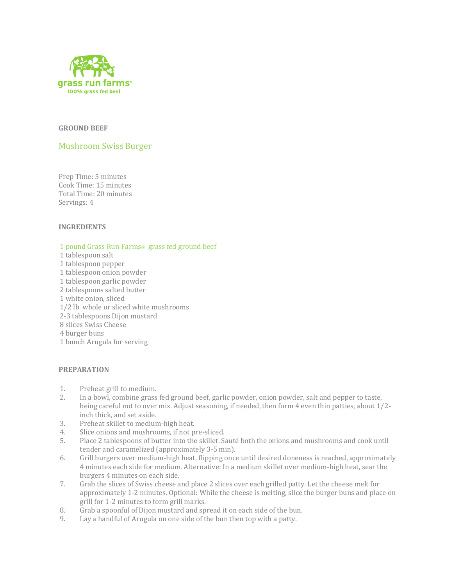

### **GROUND BEEF**

# Mushroom Swiss Burger

Prep Time: 5 minutes Cook Time: 15 minutes Total Time: 20 minutes Servings: 4

### **INGREDIENTS**

### 1 pound Grass Run Farms<sup>®</sup> grass fed ground beef

- 1 tablespoon salt
- 1 tablespoon pepper
- 1 tablespoon onion powder
- 1 tablespoon garlic powder
- 2 tablespoons salted butter
- 1 white onion, sliced
- 1/2 lb. whole or sliced white mushrooms
- 2-3 tablespoons Dijon mustard
- 8 slices Swiss Cheese
- 4 burger buns
- 1 bunch Arugula for serving

## **PREPARATION**

- 1. Preheat grill to medium.
- 2. In a bowl, combine grass fed ground beef, garlic powder, onion powder, salt and pepper to taste, being careful not to over mix. Adjust seasoning, if needed, then form 4 even thin patties, about 1/2 inch thick, and set aside.
- 3. Preheat skillet to medium-high heat.
- 4. Slice onions and mushrooms, if not pre-sliced.
- 5. Place 2 tablespoons of butter into the skillet. Sauté both the onions and mushrooms and cook until tender and caramelized (approximately 3-5 min).
- 6. Grill burgers over medium-high heat, flipping once until desired doneness is reached, approximately 4 minutes each side for medium. Alternative: In a medium skillet over medium-high heat, sear the burgers 4 minutes on each side.
- 7. Grab the slices of Swiss cheese and place 2 slices over each grilled patty. Let the cheese melt for approximately 1-2 minutes. Optional: While the cheese is melting, slice the burger buns and place on grill for 1-2 minutes to form grill marks.
- 8. Grab a spoonful of Dijon mustard and spread it on each side of the bun.
- 9. Lay a handful of Arugula on one side of the bun then top with a patty.